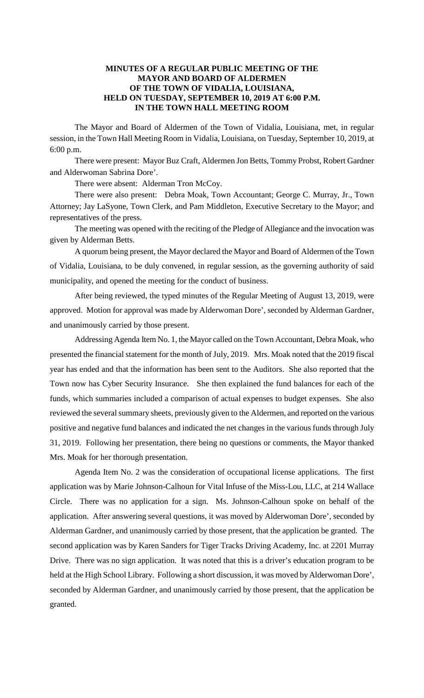## **MINUTES OF A REGULAR PUBLIC MEETING OF THE MAYOR AND BOARD OF ALDERMEN OF THE TOWN OF VIDALIA, LOUISIANA, HELD ON TUESDAY, SEPTEMBER 10, 2019 AT 6:00 P.M. IN THE TOWN HALL MEETING ROOM**

The Mayor and Board of Aldermen of the Town of Vidalia, Louisiana, met, in regular session, in the Town Hall Meeting Room in Vidalia, Louisiana, on Tuesday, September 10, 2019, at 6:00 p.m.

There were present: Mayor Buz Craft, Aldermen Jon Betts, Tommy Probst, Robert Gardner and Alderwoman Sabrina Dore'.

There were absent: Alderman Tron McCoy.

There were also present: Debra Moak, Town Accountant; George C. Murray, Jr., Town Attorney; Jay LaSyone, Town Clerk, and Pam Middleton, Executive Secretary to the Mayor; and representatives of the press.

The meeting was opened with the reciting of the Pledge of Allegiance and the invocation was given by Alderman Betts.

A quorum being present, the Mayor declared the Mayor and Board of Aldermen of the Town of Vidalia, Louisiana, to be duly convened, in regular session, as the governing authority of said municipality, and opened the meeting for the conduct of business.

After being reviewed, the typed minutes of the Regular Meeting of August 13, 2019, were approved. Motion for approval was made by Alderwoman Dore', seconded by Alderman Gardner, and unanimously carried by those present.

Addressing Agenda Item No. 1, the Mayor called on the Town Accountant, Debra Moak, who presented the financial statement for the month of July, 2019. Mrs. Moak noted that the 2019 fiscal year has ended and that the information has been sent to the Auditors. She also reported that the Town now has Cyber Security Insurance. She then explained the fund balances for each of the funds, which summaries included a comparison of actual expenses to budget expenses. She also reviewed the several summary sheets, previously given to the Aldermen, and reported on the various positive and negative fund balances and indicated the net changes in the various funds through July 31, 2019. Following her presentation, there being no questions or comments, the Mayor thanked Mrs. Moak for her thorough presentation.

Agenda Item No. 2 was the consideration of occupational license applications. The first application was by Marie Johnson-Calhoun for Vital Infuse of the Miss-Lou, LLC, at 214 Wallace Circle. There was no application for a sign. Ms. Johnson-Calhoun spoke on behalf of the application. After answering several questions, it was moved by Alderwoman Dore', seconded by Alderman Gardner, and unanimously carried by those present, that the application be granted. The second application was by Karen Sanders for Tiger Tracks Driving Academy, Inc. at 2201 Murray Drive. There was no sign application. It was noted that this is a driver's education program to be held at the High School Library. Following a short discussion, it was moved by Alderwoman Dore', seconded by Alderman Gardner, and unanimously carried by those present, that the application be granted.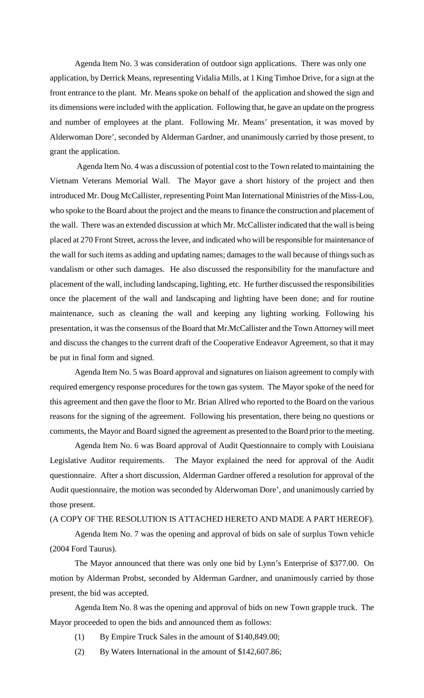Agenda Item No. 3 was consideration of outdoor sign applications. There was only one application, by Derrick Means, representing Vidalia Mills, at 1 King Timhoe Drive, for a sign at the front entrance to the plant. Mr. Means spoke on behalf of the application and showed the sign and its dimensions were included with the application. Following that, he gave an update on the progress and number of employees at the plant. Following Mr. Means' presentation, it was moved by Alderwoman Dore', seconded by Alderman Gardner, and unanimously carried by those present, to grant the application.

Agenda Item No. 4 was a discussion of potential cost to the Town related to maintaining the Vietnam Veterans Memorial Wall. The Mayor gave a short history of the project and then introduced Mr. Doug McCallister, representing Point Man International Ministries of the Miss-Lou, who spoke to the Board about the project and the means to finance the construction and placement of the wall. There was an extended discussion at which Mr. McCallister indicated that the wall is being placed at 270 Front Street, across the levee, and indicated who will be responsible for maintenance of the wall for such items as adding and updating names; damages to the wall because of things such as vandalism or other such damages. He also discussed the responsibility for the manufacture and placement of the wall, including landscaping, lighting, etc. He further discussed the responsibilities once the placement of the wall and landscaping and lighting have been done; and for routine maintenance, such as cleaning the wall and keeping any lighting working. Following his presentation, it was the consensus of the Board that Mr.McCallister and the Town Attorney will meet and discuss the changes to the current draft of the Cooperative Endeavor Agreement, so that it may be put in final form and signed.

Agenda Item No. 5 was Board approval and signatures on liaison agreement to comply with required emergency response procedures for the town gas system. The Mayor spoke of the need for this agreement and then gave the floor to Mr. Brian Allred who reported to the Board on the various reasons for the signing of the agreement. Following his presentation, there being no questions or comments, the Mayor and Board signed the agreement as presented to the Board prior to the meeting.

Agenda Item No. 6 was Board approval of Audit Questionnaire to comply with Louisiana Legislative Auditor requirements. The Mayor explained the need for approval of the Audit questionnaire. After a short discussion, Alderman Gardner offered a resolution for approval of the Audit questionnaire, the motion was seconded by Alderwoman Dore', and unanimously carried by those present.

## (A COPY OF THE RESOLUTION IS ATTACHED HERETO AND MADE A PART HEREOF).

Agenda Item No. 7 was the opening and approval of bids on sale of surplus Town vehicle (2004 Ford Taurus).

The Mayor announced that there was only one bid by Lynn's Enterprise of \$377.00. On motion by Alderman Probst, seconded by Alderman Gardner, and unanimously carried by those present, the bid was accepted.

Agenda Item No. 8 was the opening and approval of bids on new Town grapple truck. The Mayor proceeded to open the bids and announced them as follows:

- (1) By Empire Truck Sales in the amount of \$140,849.00;
- (2) By Waters International in the amount of \$142,607.86;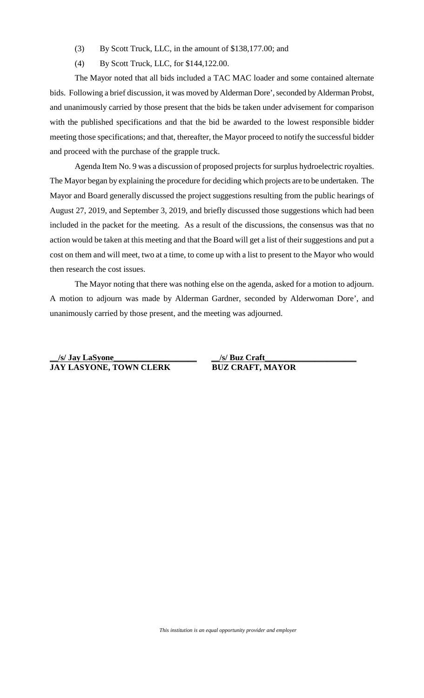- (3) By Scott Truck, LLC, in the amount of \$138,177.00; and
- (4) By Scott Truck, LLC, for \$144,122.00.

The Mayor noted that all bids included a TAC MAC loader and some contained alternate bids. Following a brief discussion, it was moved by Alderman Dore', seconded by Alderman Probst, and unanimously carried by those present that the bids be taken under advisement for comparison with the published specifications and that the bid be awarded to the lowest responsible bidder meeting those specifications; and that, thereafter, the Mayor proceed to notify the successful bidder and proceed with the purchase of the grapple truck.

Agenda Item No. 9 was a discussion of proposed projects for surplus hydroelectric royalties. The Mayor began by explaining the procedure for deciding which projects are to be undertaken. The Mayor and Board generally discussed the project suggestions resulting from the public hearings of August 27, 2019, and September 3, 2019, and briefly discussed those suggestions which had been included in the packet for the meeting. As a result of the discussions, the consensus was that no action would be taken at this meeting and that the Board will get a list of their suggestions and put a cost on them and will meet, two at a time, to come up with a list to present to the Mayor who would then research the cost issues.

The Mayor noting that there was nothing else on the agenda, asked for a motion to adjourn. A motion to adjourn was made by Alderman Gardner, seconded by Alderwoman Dore', and unanimously carried by those present, and the meeting was adjourned.

**\_\_/s/ Jay LaSyone\_\_\_\_\_\_\_\_\_\_\_\_\_\_\_\_\_\_\_\_ JAY LASYONE, TOWN CLERK BUZ CRAFT, MAYOR**

**\_\_/s/ Buz Craft\_\_\_\_\_\_\_\_\_\_\_\_\_\_\_\_\_\_\_\_\_\_**